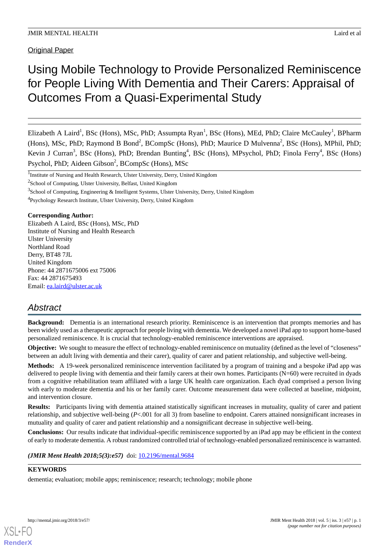Original Paper

# Using Mobile Technology to Provide Personalized Reminiscence for People Living With Dementia and Their Carers: Appraisal of Outcomes From a Quasi-Experimental Study

Elizabeth A Laird<sup>1</sup>, BSc (Hons), MSc, PhD; Assumpta Ryan<sup>1</sup>, BSc (Hons), MEd, PhD; Claire McCauley<sup>1</sup>, BPharm (Hons), MSc, PhD; Raymond B Bond<sup>2</sup>, BCompSc (Hons), PhD; Maurice D Mulvenna<sup>2</sup>, BSc (Hons), MPhil, PhD; Kevin J Curran<sup>3</sup>, BSc (Hons), PhD; Brendan Bunting<sup>4</sup>, BSc (Hons), MPsychol, PhD; Finola Ferry<sup>4</sup>, BSc (Hons) Psychol, PhD; Aideen Gibson<sup>2</sup>, BCompSc (Hons), MSc

<sup>1</sup>Institute of Nursing and Health Research, Ulster University, Derry, United Kingdom

 $3$ School of Computing, Engineering & Intelligent Systems, Ulster University, Derry, United Kingdom

<sup>4</sup>Psychology Research Institute, Ulster University, Derry, United Kingdom

## **Corresponding Author:**

Elizabeth A Laird, BSc (Hons), MSc, PhD Institute of Nursing and Health Research Ulster University Northland Road Derry, BT48 7JL United Kingdom Phone: 44 2871675006 ext 75006 Fax: 44 2871675493 Email: [ea.laird@ulster.ac.uk](mailto:ea.laird@ulster.ac.uk)

## *Abstract*

**Background:** Dementia is an international research priority. Reminiscence is an intervention that prompts memories and has been widely used as a therapeutic approach for people living with dementia. We developed a novel iPad app to support home-based personalized reminiscence. It is crucial that technology-enabled reminiscence interventions are appraised.

**Objective:** We sought to measure the effect of technology-enabled reminiscence on mutuality (defined as the level of "closeness" between an adult living with dementia and their carer), quality of carer and patient relationship, and subjective well-being.

**Methods:** A 19-week personalized reminiscence intervention facilitated by a program of training and a bespoke iPad app was delivered to people living with dementia and their family carers at their own homes. Participants (N=60) were recruited in dyads from a cognitive rehabilitation team affiliated with a large UK health care organization. Each dyad comprised a person living with early to moderate dementia and his or her family carer. Outcome measurement data were collected at baseline, midpoint, and intervention closure.

**Results:** Participants living with dementia attained statistically significant increases in mutuality, quality of carer and patient relationship, and subjective well-being (*P*<.001 for all 3) from baseline to endpoint. Carers attained nonsignificant increases in mutuality and quality of carer and patient relationship and a nonsignificant decrease in subjective well-being.

**Conclusions:** Our results indicate that individual-specific reminiscence supported by an iPad app may be efficient in the context of early to moderate dementia. A robust randomized controlled trial of technology-enabled personalized reminiscence is warranted.

*(JMIR Ment Health 2018;5(3):e57)* doi: [10.2196/mental.9684](http://dx.doi.org/10.2196/mental.9684)

## **KEYWORDS**

dementia; evaluation; mobile apps; reminiscence; research; technology; mobile phone

<sup>&</sup>lt;sup>2</sup>School of Computing, Ulster University, Belfast, United Kingdom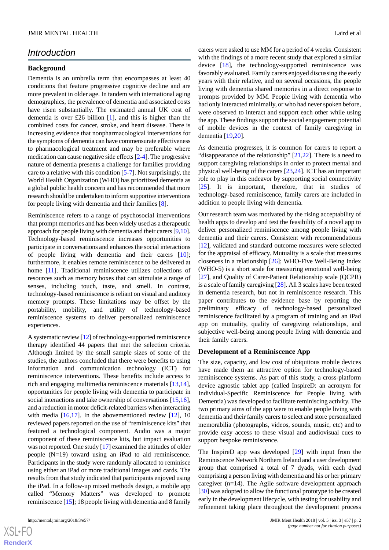## *Introduction*

#### **Background**

Dementia is an umbrella term that encompasses at least 40 conditions that feature progressive cognitive decline and are more prevalent in older age. In tandem with international aging demographics, the prevalence of dementia and associated costs have risen substantially. The estimated annual UK cost of dementia is over £26 billion [\[1](#page-9-0)], and this is higher than the combined costs for cancer, stroke, and heart disease. There is increasing evidence that nonpharmacological interventions for the symptoms of dementia can have commensurate effectiveness to pharmacological treatment and may be preferable where medication can cause negative side effects [\[2](#page-9-1)-[4](#page-10-0)]. The progressive nature of dementia presents a challenge for families providing care to a relative with this condition [\[5](#page-10-1)-[7\]](#page-10-2). Not surprisingly, the World Health Organization (WHO) has prioritized dementia as a global public health concern and has recommended that more research should be undertaken to inform supportive interventions for people living with dementia and their families [[8\]](#page-10-3).

Reminiscence refers to a range of psychosocial interventions that prompt memories and has been widely used as a therapeutic approach for people living with dementia and their carers [[9,](#page-10-4)[10\]](#page-10-5). Technology-based reminiscence increases opportunities to participate in conversations and enhances the social interactions of people living with dementia and their carers [[10\]](#page-10-5); furthermore, it enables remote reminiscence to be delivered at home [\[11](#page-10-6)]. Traditional reminiscence utilizes collections of resources such as memory boxes that can stimulate a range of senses, including touch, taste, and smell. In contrast, technology-based reminiscence is reliant on visual and auditory memory prompts. These limitations may be offset by the portability, mobility, and utility of technology-based reminiscence systems to deliver personalized reminiscence experiences.

A systematic review [[12](#page-10-7)] of technology-supported reminiscence therapy identified 44 papers that met the selection criteria. Although limited by the small sample sizes of some of the studies, the authors concluded that there were benefits to using information and communication technology (ICT) for reminiscence interventions. These benefits include access to rich and engaging multimedia reminiscence materials [\[13](#page-10-8),[14\]](#page-10-9), opportunities for people living with dementia to participate in social interactions and take ownership of conversations [[15,](#page-10-10)[16\]](#page-10-11), and a reduction in motor deficit-related barriers when interacting with media  $[16,17]$  $[16,17]$  $[16,17]$ . In the abovementioned review  $[12]$  $[12]$ , 10 reviewed papers reported on the use of "reminiscence kits" that featured a technological component. Audio was a major component of these reminiscence kits, but impact evaluation was not reported. One study [[17](#page-10-12)] examined the attitudes of older people (N=19) toward using an iPad to aid reminiscence. Participants in the study were randomly allocated to reminisce using either an iPad or more traditional images and cards. The results from that study indicated that participants enjoyed using the iPad. In a follow-up mixed methods design, a mobile app called "Memory Matters" was developed to promote reminiscence [\[15](#page-10-10)]; 18 people living with dementia and 8 family

 $XS$ -FO **[RenderX](http://www.renderx.com/)**

carers were asked to use MM for a period of 4 weeks. Consistent with the findings of a more recent study that explored a similar device [\[18](#page-10-13)], the technology-supported reminiscence was favorably evaluated. Family carers enjoyed discussing the early years with their relative, and on several occasions, the people living with dementia shared memories in a direct response to prompts provided by MM. People living with dementia who had only interacted minimally, or who had never spoken before, were observed to interact and support each other while using the app. These findings support the social engagement potential of mobile devices in the context of family caregiving in dementia [\[19](#page-10-14),[20\]](#page-10-15).

As dementia progresses, it is common for carers to report a "disappearance of the relationship"  $[21,22]$  $[21,22]$  $[21,22]$ . There is a need to support caregiving relationships in order to protect mental and physical well-being of the carers [\[23](#page-10-18),[24\]](#page-10-19). ICT has an important role to play in this endeavor by supporting social connectivity [[25\]](#page-10-20). It is important, therefore, that in studies of technology-based reminiscence, family carers are included in addition to people living with dementia.

Our research team was motivated by the rising acceptability of health apps to develop and test the feasibility of a novel app to deliver personalized reminiscence among people living with dementia and their carers. Consistent with recommendations [[12\]](#page-10-7), validated and standard outcome measures were selected for the appraisal of efficacy. Mutuality is a scale that measures closeness in a relationship [\[26](#page-10-21)]; WHO-Five Well-Being Index (WHO-5) is a short scale for measuring emotional well-being [[27\]](#page-11-0), and Quality of Carer-Patient Relationship scale (QCPR) is a scale of family caregiving [\[28](#page-11-1)]. All 3 scales have been tested in dementia research, but not in reminiscence research. This paper contributes to the evidence base by reporting the preliminary efficacy of technology-based personalized reminiscence facilitated by a program of training and an iPad app on mutuality, quality of caregiving relationships, and subjective well-being among people living with dementia and their family carers.

#### **Development of a Reminiscence App**

The size, capacity, and low cost of ubiquitous mobile devices have made them an attractive option for technology-based reminiscence systems. As part of this study, a cross-platform device agnostic tablet app (called InspireD: an acronym for Individual-Specific Reminiscence for People living with Dementia) was developed to facilitate reminiscing activity. The two primary aims of the app were to enable people living with dementia and their family carers to select and store personalized memorabilia (photographs, videos, sounds, music, etc) and to provide easy access to these visual and audiovisual cues to support bespoke reminiscence.

The InspireD app was developed [\[29](#page-11-2)] with input from the Reminiscence Network Northern Ireland and a user development group that comprised a total of 7 dyads, with each dyad comprising a person living with dementia and his or her primary caregiver (n=14). The Agile software development approach [[30\]](#page-11-3) was adopted to allow the functional prototype to be created early in the development lifecycle, with testing for usability and refinement taking place throughout the development process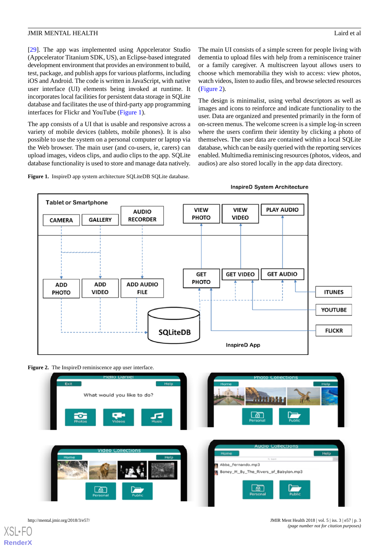[[29\]](#page-11-2). The app was implemented using Appcelerator Studio (Appcelerator Titanium SDK, US), an Eclipse-based integrated development environment that provides an environment to build, test, package, and publish apps for various platforms, including iOS and Android. The code is written in JavaScript, with native user interface (UI) elements being invoked at runtime. It incorporates local facilities for persistent data storage in SQLite database and facilitates the use of third-party app programming interfaces for Flickr and YouTube [\(Figure 1\)](#page-2-0).

The app consists of a UI that is usable and responsive across a variety of mobile devices (tablets, mobile phones). It is also possible to use the system on a personal computer or laptop via the Web browser. The main user (and co-users, ie, carers) can upload images, videos clips, and audio clips to the app. SQLite database functionality is used to store and manage data natively.

<span id="page-2-0"></span>**Figure 1.** InspireD app system architecture SQLiteDB SQLite database.

The main UI consists of a simple screen for people living with dementia to upload files with help from a reminiscence trainer or a family caregiver. A multiscreen layout allows users to choose which memorabilia they wish to access: view photos, watch videos, listen to audio files, and browse selected resources ([Figure 2\)](#page-2-1).

The design is minimalist, using verbal descriptors as well as images and icons to reinforce and indicate functionality to the user. Data are organized and presented primarily in the form of on-screen menus. The welcome screen is a simple log-in screen where the users confirm their identity by clicking a photo of themselves. The user data are contained within a local SQLite database, which can be easily queried with the reporting services enabled. Multimedia reminiscing resources (photos, videos, and audios) are also stored locally in the app data directory.



<span id="page-2-1"></span>



[XSL](http://www.w3.org/Style/XSL)•FO **[RenderX](http://www.renderx.com/)**

http://mental.jmir.org/2018/3/e57/ JMIR Ment Health 2018 | vol. 5 | iss. 3 | e57 | p. 3 *(page number not for citation purposes)*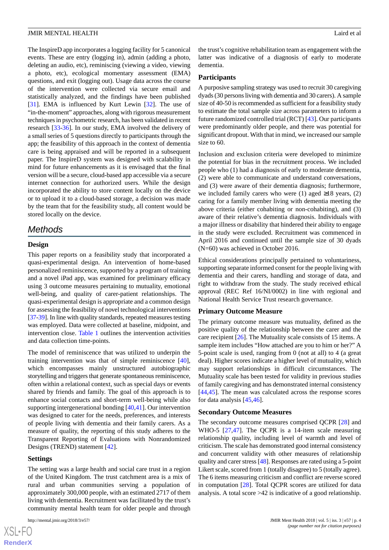The InspireD app incorporates a logging facility for 5 canonical events. These are entry (logging in), admin (adding a photo, deleting an audio, etc), reminiscing (viewing a video, viewing a photo, etc), ecological momentary assessment (EMA) questions, and exit (logging out). Usage data across the course of the intervention were collected via secure email and statistically analyzed, and the findings have been published [[31\]](#page-11-4). EMA is influenced by Kurt Lewin [[32\]](#page-11-5). The use of "in-the-moment" approaches, along with rigorous measurement techniques in psychometric research, has been validated in recent research [\[33](#page-11-6)-[36\]](#page-11-7). In our study, EMA involved the delivery of a small series of 5 questions directly to participants through the app; the feasibility of this approach in the context of dementia care is being appraised and will be reported in a subsequent paper. The InspireD system was designed with scalability in mind for future enhancements as it is envisaged that the final version will be a secure, cloud-based app accessible via a secure internet connection for authorized users. While the design incorporated the ability to store content locally on the device or to upload it to a cloud-based storage, a decision was made by the team that for the feasibility study, all content would be stored locally on the device.

## *Methods*

#### **Design**

This paper reports on a feasibility study that incorporated a quasi-experimental design. An intervention of home-based personalized reminiscence, supported by a program of training and a novel iPad app, was examined for preliminary efficacy using 3 outcome measures pertaining to mutuality, emotional well-being, and quality of carer-patient relationships. The quasi-experimental design is appropriate and a common design for assessing the feasibility of novel technological interventions [[37-](#page-11-8)[39\]](#page-11-9). In line with quality standards, repeated measures testing was employed. Data were collected at baseline, midpoint, and intervention close. [Table 1](#page-5-0) outlines the intervention activities and data collection time-points.

The model of reminiscence that was utilized to underpin the training intervention was that of simple reminiscence [[40\]](#page-11-10), which encompasses mainly unstructured autobiographic storytelling and triggers that generate spontaneous reminiscence, often within a relational context, such as special days or events shared by friends and family. The goal of this approach is to enhance social contacts and short-term well-being while also supporting intergenerational bonding [\[40](#page-11-10),[41\]](#page-11-11). Our intervention was designed to cater for the needs, preferences, and interests of people living with dementia and their family carers. As a measure of quality, the reporting of this study adheres to the Transparent Reporting of Evaluations with Nonrandomized Designs (TREND) statement [[42\]](#page-11-12).

#### **Settings**

The setting was a large health and social care trust in a region of the United Kingdom. The trust catchment area is a mix of rural and urban communities serving a population of approximately 300,000 people, with an estimated 2717 of them living with dementia. Recruitment was facilitated by the trust's community mental health team for older people and through

the trust's cognitive rehabilitation team as engagement with the latter was indicative of a diagnosis of early to moderate dementia.

#### **Participants**

A purposive sampling strategy was used to recruit 30 caregiving dyads (30 persons living with dementia and 30 carers). A sample size of 40-50 is recommended as sufficient for a feasibility study to estimate the total sample size across parameters to inform a future randomized controlled trial (RCT) [[43\]](#page-11-13). Our participants were predominantly older people, and there was potential for significant dropout. With that in mind, we increased our sample size to 60.

Inclusion and exclusion criteria were developed to minimize the potential for bias in the recruitment process. We included people who (1) had a diagnosis of early to moderate dementia, (2) were able to communicate and understand conversations, and (3) were aware of their dementia diagnosis; furthermore, we included family carers who were (1) aged  $\geq$ 18 years, (2) caring for a family member living with dementia meeting the above criteria (either cohabiting or non-cohabiting), and (3) aware of their relative's dementia diagnosis. Individuals with a major illness or disability that hindered their ability to engage in the study were excluded. Recruitment was commenced in April 2016 and continued until the sample size of 30 dyads (N=60) was achieved in October 2016.

Ethical considerations principally pertained to voluntariness, supporting separate informed consent for the people living with dementia and their carers, handling and storage of data, and right to withdraw from the study. The study received ethical approval (REC Ref 16/NI/0002) in line with regional and National Health Service Trust research governance.

#### **Primary Outcome Measure**

The primary outcome measure was mutuality, defined as the positive quality of the relationship between the carer and the care recipient [[26\]](#page-10-21). The Mutuality scale consists of 15 items. A sample item includes "How attached are you to him or her?" A 5-point scale is used, ranging from 0 (not at all) to 4 (a great deal). Higher scores indicate a higher level of mutuality, which may support relationships in difficult circumstances. The Mutuality scale has been tested for validity in previous studies of family caregiving and has demonstrated internal consistency [[44,](#page-11-14)[45\]](#page-11-15). The mean was calculated across the response scores for data analysis [\[45](#page-11-15),[46\]](#page-11-16).

#### **Secondary Outcome Measures**

The secondary outcome measures comprised QCPR [[28\]](#page-11-1) and WHO-5 [\[27](#page-11-0),[47\]](#page-11-17). The QCPR is a 14-item scale measuring relationship quality, including level of warmth and level of criticism. The scale has demonstrated good internal consistency and concurrent validity with other measures of relationship quality and carer stress [[48\]](#page-12-0). Responses are rated using a 5-point Likert scale, scored from 1 (totally disagree) to 5 (totally agree). The 6 items measuring criticism and conflict are reverse scored in computation [[28\]](#page-11-1). Total QCPR scores are utilized for data analysis. A total score >42 is indicative of a good relationship.

 $XS$ -FO **[RenderX](http://www.renderx.com/)**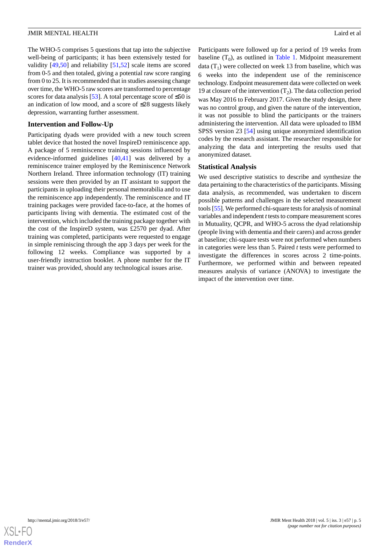The WHO-5 comprises 5 questions that tap into the subjective well-being of participants; it has been extensively tested for validity [[49,](#page-12-1)[50](#page-12-2)] and reliability [\[51](#page-12-3),[52\]](#page-12-4) scale items are scored from 0-5 and then totaled, giving a potential raw score ranging from 0 to 25. It is recommended that in studies assessing change over time, the WHO-5 raw scores are transformed to percentage scores for data analysis [\[53](#page-12-5)]. A total percentage score of  $\leq 50$  is an indication of low mood, and a score of ≤28 suggests likely depression, warranting further assessment.

#### **Intervention and Follow-Up**

Participating dyads were provided with a new touch screen tablet device that hosted the novel InspireD reminiscence app. A package of 5 reminiscence training sessions influenced by evidence-informed guidelines [\[40](#page-11-10)[,41](#page-11-11)] was delivered by a reminiscence trainer employed by the Reminiscence Network Northern Ireland. Three information technology (IT) training sessions were then provided by an IT assistant to support the participants in uploading their personal memorabilia and to use the reminiscence app independently. The reminiscence and IT training packages were provided face-to-face, at the homes of participants living with dementia. The estimated cost of the intervention, which included the training package together with the cost of the InspireD system, was £2570 per dyad. After training was completed, participants were requested to engage in simple reminiscing through the app 3 days per week for the following 12 weeks. Compliance was supported by a user-friendly instruction booklet. A phone number for the IT trainer was provided, should any technological issues arise.

Participants were followed up for a period of 19 weeks from baseline  $(T_0)$ , as outlined in [Table 1](#page-5-0). Midpoint measurement data  $(T_1)$  were collected on week 13 from baseline, which was 6 weeks into the independent use of the reminiscence technology. Endpoint measurement data were collected on week 19 at closure of the intervention  $(T_2)$ . The data collection period was May 2016 to February 2017. Given the study design, there was no control group, and given the nature of the intervention, it was not possible to blind the participants or the trainers administering the intervention. All data were uploaded to IBM SPSS version 23 [\[54](#page-12-6)] using unique anonymized identification codes by the research assistant. The researcher responsible for analyzing the data and interpreting the results used that anonymized dataset.

## **Statistical Analysis**

We used descriptive statistics to describe and synthesize the data pertaining to the characteristics of the participants. Missing data analysis, as recommended, was undertaken to discern possible patterns and challenges in the selected measurement tools [[55\]](#page-12-7). We performed chi-square tests for analysis of nominal variables and independent *t* tests to compare measurement scores in Mutuality, QCPR, and WHO-5 across the dyad relationship (people living with dementia and their carers) and across gender at baseline; chi-square tests were not performed when numbers in categories were less than 5. Paired *t* tests were performed to investigate the differences in scores across 2 time-points. Furthermore, we performed within and between repeated measures analysis of variance (ANOVA) to investigate the impact of the intervention over time.

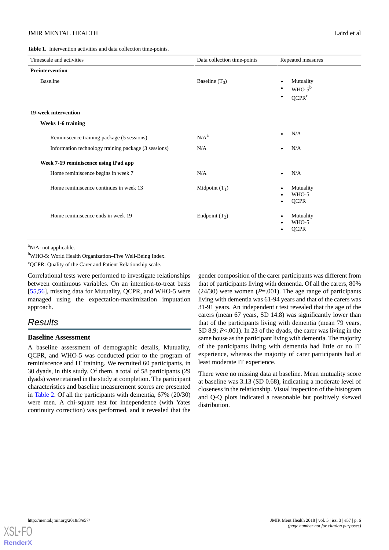#### **JMIR MENTAL HEALTH** Laird et al.

<span id="page-5-0"></span>**Table 1.** Intervention activities and data collection time-points.

| Timescale and activities                             | Data collection time-points | Repeated measures                                             |
|------------------------------------------------------|-----------------------------|---------------------------------------------------------------|
| Preintervention                                      |                             |                                                               |
| <b>Baseline</b>                                      | Baseline $(T_0)$            | Mutuality<br>$WHO-5^b$<br>$\bullet$<br>QCPR <sup>c</sup><br>٠ |
| 19-week intervention                                 |                             |                                                               |
| <b>Weeks 1-6 training</b>                            |                             |                                                               |
| Reminiscence training package (5 sessions)           | N/A <sup>a</sup>            | N/A                                                           |
| Information technology training package (3 sessions) | N/A                         | N/A                                                           |
| Week 7-19 reminiscence using iPad app                |                             |                                                               |
| Home reminiscence begins in week 7                   | N/A                         | N/A                                                           |
| Home reminiscence continues in week 13               | Midpoint $(T_1)$            | Mutuality<br>WHO-5<br><b>QCPR</b>                             |
| Home reminiscence ends in week 19                    | Endpoint $(T_2)$            | Mutuality<br>WHO-5<br><b>QCPR</b>                             |

 ${}^{\text{a}}$ N/A: not applicable.

<sup>b</sup>WHO-5: World Health Organization–Five Well-Being Index.

<sup>c</sup>QCPR: Quality of the Carer and Patient Relationship scale.

Correlational tests were performed to investigate relationships between continuous variables. On an intention-to-treat basis [[55](#page-12-7)[,56](#page-12-8)], missing data for Mutuality, QCPR, and WHO-5 were managed using the expectation-maximization imputation approach.

## *Results*

#### **Baseline Assessment**

A baseline assessment of demographic details, Mutuality, QCPR, and WHO-5 was conducted prior to the program of reminiscence and IT training. We recruited 60 participants, in 30 dyads, in this study. Of them, a total of 58 participants (29 dyads) were retained in the study at completion. The participant characteristics and baseline measurement scores are presented in [Table 2.](#page-6-0) Of all the participants with dementia, 67% (20/30) were men. A chi-square test for independence (with Yates continuity correction) was performed, and it revealed that the

gender composition of the carer participants was different from that of participants living with dementia. Of all the carers, 80%  $(24/30)$  were women  $(P=.001)$ . The age range of participants living with dementia was 61-94 years and that of the carers was 31-91 years. An independent *t* test revealed that the age of the carers (mean 67 years, SD 14.8) was significantly lower than that of the participants living with dementia (mean 79 years, SD 8.9; *P*<.001). In 23 of the dyads, the carer was living in the same house as the participant living with dementia. The majority of the participants living with dementia had little or no IT experience, whereas the majority of carer participants had at least moderate IT experience.

There were no missing data at baseline. Mean mutuality score at baseline was 3.13 (SD 0.68), indicating a moderate level of closeness in the relationship. Visual inspection of the histogram and Q-Q plots indicated a reasonable but positively skewed distribution.

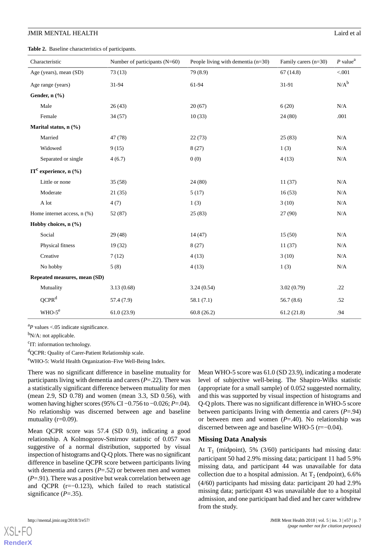#### **JMIR MENTAL HEALTH** Laird et al.

<span id="page-6-0"></span>**Table 2.** Baseline characteristics of participants.

| Characteristic                       | Number of participants $(N=60)$ | People living with dementia $(n=30)$ | Family carers (n=30) | $P$ value <sup>a</sup> |
|--------------------------------------|---------------------------------|--------------------------------------|----------------------|------------------------|
| Age (years), mean (SD)               | 73(13)                          | 79 (8.9)                             | 67(14.8)             | < 0.001                |
| Age range (years)                    | 31-94                           | 61-94                                | 31-91                | $N/A^b$                |
| Gender, n (%)                        |                                 |                                      |                      |                        |
| Male                                 | 26(43)                          | 20(67)                               | 6(20)                | N/A                    |
| Female                               | 34 (57)                         | 10(33)                               | 24 (80)              | .001                   |
| Marital status, n (%)                |                                 |                                      |                      |                        |
| Married                              | 47 (78)                         | 22(73)                               | 25(83)               | N/A                    |
| Widowed                              | 9(15)                           | 8(27)                                | 1(3)                 | N/A                    |
| Separated or single                  | 4(6.7)                          | 0(0)                                 | 4(13)                | $\rm N/A$              |
| $IT^c$ experience, n $(\frac{6}{6})$ |                                 |                                      |                      |                        |
| Little or none                       | 35(58)                          | 24(80)                               | 11(37)               | $\rm N/A$              |
| Moderate                             | 21(35)                          | 5(17)                                | 16(53)               | N/A                    |
| A lot                                | 4(7)                            | 1(3)                                 | 3(10)                | N/A                    |
| Home internet access, n (%)          | 52 (87)                         | 25(83)                               | 27 (90)              | $\rm N/A$              |
| Hobby choices, n (%)                 |                                 |                                      |                      |                        |
| Social                               | 29(48)                          | 14(47)                               | 15(50)               | N/A                    |
| Physical fitness                     | 19 (32)                         | 8(27)                                | 11(37)               | $\rm N/A$              |
| Creative                             | 7(12)                           | 4(13)                                | 3(10)                | $\rm N/A$              |
| No hobby                             | 5(8)                            | 4(13)                                | 1(3)                 | $\rm N/A$              |
| Repeated measures, mean (SD)         |                                 |                                      |                      |                        |
| Mutuality                            | 3.13(0.68)                      | 3.24(0.54)                           | 3.02(0.79)           | .22                    |
| QCPR <sup>d</sup>                    | 57.4 (7.9)                      | 58.1(7.1)                            | 56.7(8.6)            | .52                    |
| $WHO-5e$                             | 61.0(23.9)                      | 60.8(26.2)                           | 61.2(21.8)           | .94                    |

<sup>a</sup>P values <.05 indicate significance.

 $b_{N/A}$ : not applicable.

<sup>c</sup>IT: information technology.

d<sub>QCPR</sub>: Quality of Carer-Patient Relationship scale.

<sup>e</sup>WHO-5: World Health Organization–Five Well-Being Index.

There was no significant difference in baseline mutuality for participants living with dementia and carers (*P*=.22). There was a statistically significant difference between mutuality for men (mean 2.9, SD 0.78) and women (mean 3.3, SD 0.56), with women having higher scores (95% CI −0.756 to −0.026; *P*=.04). No relationship was discerned between age and baseline mutuality (r=0.09).

Mean QCPR score was 57.4 (SD 0.9), indicating a good relationship. A Kolmogorov-Smirnov statistic of 0.057 was suggestive of a normal distribution, supported by visual inspection of histograms and Q-Q plots. There was no significant difference in baseline QCPR score between participants living with dementia and carers ( $P = .52$ ) or between men and women (*P*=.91). There was a positive but weak correlation between age and QCPR (r=−0.123), which failed to reach statistical significance (*P*=.35).

Mean WHO-5 score was 61.0 (SD 23.9), indicating a moderate level of subjective well-being. The Shapiro-Wilks statistic (appropriate for a small sample) of 0.052 suggested normality, and this was supported by visual inspection of histograms and Q-Q plots. There was no significant difference in WHO-5 score between participants living with dementia and carers (*P*=.94) or between men and women (*P*=.40). No relationship was discerned between age and baseline WHO-5 (r=−0.04).

#### **Missing Data Analysis**

At  $T_1$  (midpoint), 5% (3/60) participants had missing data: participant 50 had 2.9% missing data; participant 11 had 5.9% missing data, and participant 44 was unavailable for data collection due to a hospital admission. At  $T_2$  (endpoint), 6.6% (4/60) participants had missing data: participant 20 had 2.9% missing data; participant 43 was unavailable due to a hospital admission, and one participant had died and her carer withdrew from the study.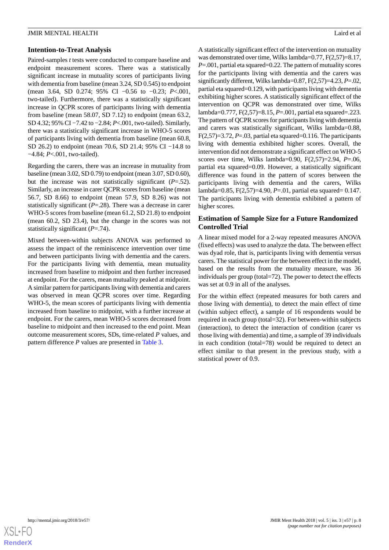#### **Intention-to-Treat Analysis**

Paired-samples *t* tests were conducted to compare baseline and endpoint measurement scores. There was a statistically significant increase in mutuality scores of participants living with dementia from baseline (mean 3.24, SD 0.545) to endpoint (mean 3.64, SD 0.274; 95% CI −0.56 to −0.23; *P*<.001, two-tailed). Furthermore, there was a statistically significant increase in QCPR scores of participants living with dementia from baseline (mean 58.07, SD 7.12) to endpoint (mean 63.2, SD 4.32; 95% CI −7.42 to −2.84; *P*<.001, two-tailed). Similarly, there was a statistically significant increase in WHO-5 scores of participants living with dementia from baseline (mean 60.8, SD 26.2) to endpoint (mean 70.6, SD 21.4; 95% CI −14.8 to −4.84; *P*<.001, two-tailed).

Regarding the carers, there was an increase in mutuality from baseline (mean 3.02, SD 0.79) to endpoint (mean 3.07, SD 0.60), but the increase was not statistically significant (*P*=.52). Similarly, an increase in carer QCPR scores from baseline (mean 56.7, SD 8.66) to endpoint (mean 57.9, SD 8.26) was not statistically significant (*P*=.28). There was a decrease in carer WHO-5 scores from baseline (mean 61.2, SD 21.8) to endpoint (mean 60.2, SD 23.4), but the change in the scores was not statistically significant (*P*=.74).

Mixed between-within subjects ANOVA was performed to assess the impact of the reminiscence intervention over time and between participants living with dementia and the carers. For the participants living with dementia, mean mutuality increased from baseline to midpoint and then further increased at endpoint. For the carers, mean mutuality peaked at midpoint. A similar pattern for participants living with dementia and carers was observed in mean QCPR scores over time. Regarding WHO-5, the mean scores of participants living with dementia increased from baseline to midpoint, with a further increase at endpoint. For the carers, mean WHO-5 scores decreased from baseline to midpoint and then increased to the end point. Mean outcome measurement scores, SDs, time-related *P* values, and pattern difference *P* values are presented in [Table 3](#page-8-0).

A statistically significant effect of the intervention on mutuality was demonstrated over time, Wilks lambda=0.77, F(2,57)=8.17, *P*=.001, partial eta squared=0.22. The pattern of mutuality scores for the participants living with dementia and the carers was significantly different, Wilks lambda=0.87, F(2,57)=4.23, *P*=.02, partial eta squared=0.129, with participants living with dementia exhibiting higher scores. A statistically significant effect of the intervention on QCPR was demonstrated over time, Wilks lambda=0.777, F(2,57)=8.15, *P*=.001, partial eta squared=.223. The pattern of QCPR scores for participants living with dementia and carers was statistically significant, Wilks lambda=0.88, F(2,57)=3.72, *P*=.03, partial eta squared=0.116. The participants living with dementia exhibited higher scores. Overall, the intervention did not demonstrate a significant effect on WHO-5 scores over time, Wilks lambda=0.90, F(2,57)=2.94, *P*=.06, partial eta squared=0.09. However, a statistically significant difference was found in the pattern of scores between the participants living with dementia and the carers, Wilks lambda=0.85, F(2,57)=4.90, *P*=.01, partial eta squared= 0.147. The participants living with dementia exhibited a pattern of higher scores.

## **Estimation of Sample Size for a Future Randomized Controlled Trial**

A linear mixed model for a 2-way repeated measures ANOVA (fixed effects) was used to analyze the data. The between effect was dyad role, that is, participants living with dementia versus carers. The statistical power for the between effect in the model, based on the results from the mutuality measure, was 36 individuals per group (total=72). The power to detect the effects was set at 0.9 in all of the analyses.

For the within effect (repeated measures for both carers and those living with dementia), to detect the main effect of time (within subject effect), a sample of 16 respondents would be required in each group (total=32). For between-within subjects (interaction), to detect the interaction of condition (carer vs those living with dementia) and time, a sample of 39 individuals in each condition (total=78) would be required to detect an effect similar to that present in the previous study, with a statistical power of 0.9.

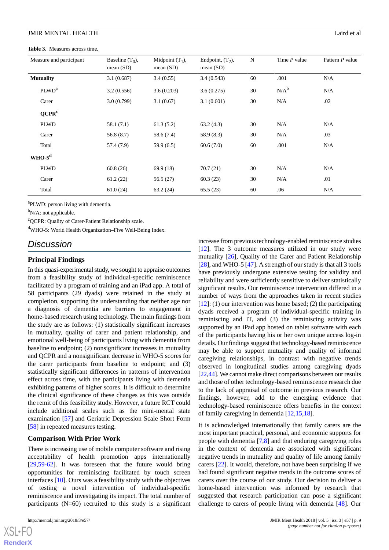<span id="page-8-0"></span>**Table 3.** Measures across time.

| Measure and participant | Baseline $(T_0)$ ,<br>mean $(SD)$ | Midpoint $(T_1)$ ,<br>mean $(SD)$ | Endpoint, $(T2)$ ,<br>mean $(SD)$ | N  | Time P value | Pattern P value |
|-------------------------|-----------------------------------|-----------------------------------|-----------------------------------|----|--------------|-----------------|
| <b>Mutuality</b>        | 3.1(0.687)                        | 3.4(0.55)                         | 3.4(0.543)                        | 60 | .001         | N/A             |
| PLWD <sup>a</sup>       | 3.2(0.556)                        | 3.6(0.203)                        | 3.6(0.275)                        | 30 | $N/A^b$      | N/A             |
| Carer                   | 3.0(0.799)                        | 3.1(0.67)                         | 3.1(0.601)                        | 30 | N/A          | .02             |
| QCPR <sup>c</sup>       |                                   |                                   |                                   |    |              |                 |
| <b>PLWD</b>             | 58.1 (7.1)                        | 61.3(5.2)                         | 63.2(4.3)                         | 30 | N/A          | N/A             |
| Carer                   | 56.8 (8.7)                        | 58.6 (7.4)                        | 58.9 (8.3)                        | 30 | N/A          | .03             |
| Total                   | 57.4 (7.9)                        | 59.9 (6.5)                        | 60.6(7.0)                         | 60 | .001         | N/A             |
| $WHO-5^d$               |                                   |                                   |                                   |    |              |                 |
| <b>PLWD</b>             | 60.8(26)                          | 69.9(18)                          | 70.7(21)                          | 30 | N/A          | N/A             |
| Carer                   | 61.2(22)                          | 56.5 (27)                         | 60.3(23)                          | 30 | N/A          | .01             |
| Total                   | 61.0(24)                          | 63.2(24)                          | 65.5(23)                          | 60 | .06          | N/A             |

<sup>a</sup>PLWD: person living with dementia.

 $b_{N/A}$ : not applicable.

<sup>c</sup>QCPR: Quality of Carer-Patient Relationship scale.

<sup>d</sup>WHO-5: World Health Organization–Five Well-Being Index.

## *Discussion*

#### **Principal Findings**

In this quasi-experimental study, we sought to appraise outcomes from a feasibility study of individual-specific reminiscence facilitated by a program of training and an iPad app. A total of 58 participants (29 dyads) were retained in the study at completion, supporting the understanding that neither age nor a diagnosis of dementia are barriers to engagement in home-based research using technology. The main findings from the study are as follows: (1) statistically significant increases in mutuality, quality of carer and patient relationship, and emotional well-being of participants living with dementia from baseline to endpoint; (2) nonsignificant increases in mutuality and QCPR and a nonsignificant decrease in WHO-5 scores for the carer participants from baseline to endpoint; and (3) statistically significant differences in patterns of intervention effect across time, with the participants living with dementia exhibiting patterns of higher scores. It is difficult to determine the clinical significance of these changes as this was outside the remit of this feasibility study. However, a future RCT could include additional scales such as the mini-mental state examination [\[57](#page-12-9)] and Geriatric Depression Scale Short Form [[58\]](#page-12-10) in repeated measures testing.

#### **Comparison With Prior Work**

There is increasing use of mobile computer software and rising acceptability of health promotion apps internationally [[29](#page-11-2)[,59](#page-12-11)-[62\]](#page-12-12). It was foreseen that the future would bring opportunities for reminiscing facilitated by touch screen interfaces [[10\]](#page-10-5). Ours was a feasibility study with the objectives of testing a novel intervention of individual-specific reminiscence and investigating its impact. The total number of participants  $(N=60)$  recruited to this study is a significant

 $X$ SL•FO **[RenderX](http://www.renderx.com/)** increase from previous technology-enabled reminiscence studies [[12\]](#page-10-7). The 3 outcome measures utilized in our study were mutuality [[26\]](#page-10-21), Quality of the Carer and Patient Relationship [[28\]](#page-11-1), and WHO-5 [[47\]](#page-11-17). A strength of our study is that all 3 tools have previously undergone extensive testing for validity and reliability and were sufficiently sensitive to deliver statistically significant results. Our reminiscence intervention differed in a number of ways from the approaches taken in recent studies [[12\]](#page-10-7): (1) our intervention was home based; (2) the participating dyads received a program of individual-specific training in reminiscing and IT, and (3) the reminiscing activity was supported by an iPad app hosted on tablet software with each of the participants having his or her own unique access log-in details. Our findings suggest that technology-based reminiscence may be able to support mutuality and quality of informal caregiving relationships, in contrast with negative trends observed in longitudinal studies among caregiving dyads [[22,](#page-10-17)[44\]](#page-11-14). We cannot make direct comparisons between our results and those of other technology-based reminiscence research due to the lack of appraisal of outcome in previous research. Our findings, however, add to the emerging evidence that technology-based reminiscence offers benefits in the context of family caregiving in dementia [\[12](#page-10-7),[15,](#page-10-10)[18](#page-10-13)].

It is acknowledged internationally that family carers are the most important practical, personal, and economic supports for people with dementia [\[7,](#page-10-2)[8](#page-10-3)] and that enduring caregiving roles in the context of dementia are associated with significant negative trends in mutuality and quality of life among family carers [\[22](#page-10-17)]. It would, therefore, not have been surprising if we had found significant negative trends in the outcome scores of carers over the course of our study. Our decision to deliver a home-based intervention was informed by research that suggested that research participation can pose a significant challenge to carers of people living with dementia [[48\]](#page-12-0). Our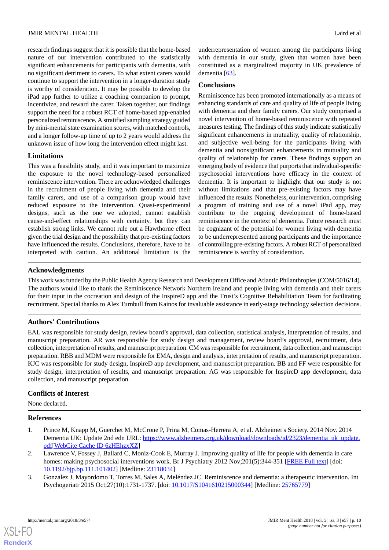research findings suggest that it is possible that the home-based nature of our intervention contributed to the statistically significant enhancements for participants with dementia, with no significant detriment to carers. To what extent carers would continue to support the intervention in a longer-duration study is worthy of consideration. It may be possible to develop the iPad app further to utilize a coaching companion to prompt, incentivize, and reward the carer. Taken together, our findings support the need for a robust RCT of home-based app-enabled personalized reminiscence. A stratified sampling strategy guided by mini-mental state examination scores, with matched controls, and a longer follow-up time of up to 2 years would address the unknown issue of how long the intervention effect might last.

## **Limitations**

This was a feasibility study, and it was important to maximize the exposure to the novel technology-based personalized reminiscence intervention. There are acknowledged challenges in the recruitment of people living with dementia and their family carers, and use of a comparison group would have reduced exposure to the intervention. Quasi-experimental designs, such as the one we adopted, cannot establish cause-and-effect relationships with certainty, but they can establish strong links. We cannot rule out a Hawthorne effect given the trial design and the possibility that pre-existing factors have influenced the results. Conclusions, therefore, have to be interpreted with caution. An additional limitation is the underrepresentation of women among the participants living with dementia in our study, given that women have been constituted as a marginalized majority in UK prevalence of dementia [\[63](#page-12-13)].

#### **Conclusions**

Reminiscence has been promoted internationally as a means of enhancing standards of care and quality of life of people living with dementia and their family carers. Our study comprised a novel intervention of home-based reminiscence with repeated measures testing. The findings of this study indicate statistically significant enhancements in mutuality, quality of relationship, and subjective well-being for the participants living with dementia and nonsignificant enhancements in mutuality and quality of relationship for carers. These findings support an emerging body of evidence that purports that individual-specific psychosocial interventions have efficacy in the context of dementia. It is important to highlight that our study is not without limitations and that pre-existing factors may have influenced the results. Nonetheless, our intervention, comprising a program of training and use of a novel iPad app, may contribute to the ongoing development of home-based reminiscence in the context of dementia. Future research must be cognizant of the potential for women living with dementia to be underrepresented among participants and the importance of controlling pre-existing factors. A robust RCT of personalized reminiscence is worthy of consideration.

## **Acknowledgments**

This work was funded by the Public Health Agency Research and Development Office and Atlantic Philanthropies (COM/5016/14). The authors would like to thank the Reminiscence Network Northern Ireland and people living with dementia and their carers for their input in the cocreation and design of the InspireD app and the Trust's Cognitive Rehabilitation Team for facilitating recruitment. Special thanks to Alex Turnbull from Kainos for invaluable assistance in early-stage technology selection decisions.

## **Authors' Contributions**

EAL was responsible for study design, review board's approval, data collection, statistical analysis, interpretation of results, and manuscript preparation. AR was responsible for study design and management, review board's approval, recruitment, data collection, interpretation of results, and manuscript preparation. CM was responsible for recruitment, data collection, and manuscript preparation. RBB and MDM were responsible for EMA, design and analysis, interpretation of results, and manuscript preparation. KJC was responsible for study design, InspireD app development, and manuscript preparation. BB and FF were responsible for study design, interpretation of results, and manuscript preparation. AG was responsible for InspireD app development, data collection, and manuscript preparation.

#### <span id="page-9-0"></span>**Conflicts of Interest**

<span id="page-9-1"></span>None declared.

#### **References**

- 1. Prince M, Knapp M, Guerchet M, McCrone P, Prina M, Comas-Herrera A, et al. Alzheimer's Society. 2014 Nov. 2014 Dementia UK: Update 2nd edn URL: [https://www.alzheimers.org.uk/download/downloads/id/2323/dementia\\_uk\\_update.](https://www.alzheimers.org.uk/download/downloads/id/2323/dementia_uk_update.pdf) [pdf](https://www.alzheimers.org.uk/download/downloads/id/2323/dementia_uk_update.pdf)[\[WebCite Cache ID 6zHEhzxXZ\]](http://www.webcitation.org/

                                6zHEhzxXZ)
- 2. Lawrence V, Fossey J, Ballard C, Moniz-Cook E, Murray J. Improving quality of life for people with dementia in care homes: making psychosocial interventions work. Br J Psychiatry 2012 Nov; 2016): 344-351 [\[FREE Full text\]](https://doi.org/10.1192/bjp.bp.111.101402) [doi: [10.1192/bjp.bp.111.101402](http://dx.doi.org/10.1192/bjp.bp.111.101402)] [Medline: [23118034\]](http://www.ncbi.nlm.nih.gov/entrez/query.fcgi?cmd=Retrieve&db=PubMed&list_uids=23118034&dopt=Abstract)
- 3. Gonzalez J, Mayordomo T, Torres M, Sales A, Meléndez JC. Reminiscence and dementia: a therapeutic intervention. Int Psychogeriatr 2015 Oct;27(10):1731-1737. [doi: [10.1017/S1041610215000344\]](http://dx.doi.org/10.1017/S1041610215000344) [Medline: [25765779\]](http://www.ncbi.nlm.nih.gov/entrez/query.fcgi?cmd=Retrieve&db=PubMed&list_uids=25765779&dopt=Abstract)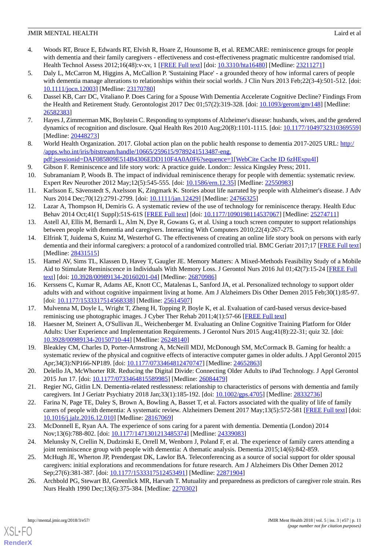- <span id="page-10-0"></span>4. Woods RT, Bruce E, Edwards RT, Elvish R, Hoare Z, Hounsome B, et al. REMCARE: reminiscence groups for people with dementia and their family caregivers - effectiveness and cost-effectiveness pragmatic multicentre randomised trial. Health Technol Assess 2012;16(48):v-xv, 1 [[FREE Full text](https://dx.doi.org/10.3310/hta16480)] [doi: [10.3310/hta16480\]](http://dx.doi.org/10.3310/hta16480) [Medline: [23211271\]](http://www.ncbi.nlm.nih.gov/entrez/query.fcgi?cmd=Retrieve&db=PubMed&list_uids=23211271&dopt=Abstract)
- <span id="page-10-1"></span>5. Daly L, McCarron M, Higgins A, McCallion P. 'Sustaining Place' - a grounded theory of how informal carers of people with dementia manage alterations to relationships within their social worlds. J Clin Nurs 2013 Feb;22(3-4):501-512. [doi: [10.1111/jocn.12003](http://dx.doi.org/10.1111/jocn.12003)] [Medline: [23170780](http://www.ncbi.nlm.nih.gov/entrez/query.fcgi?cmd=Retrieve&db=PubMed&list_uids=23170780&dopt=Abstract)]
- 6. Dassel KB, Carr DC, Vitaliano P. Does Caring for a Spouse With Dementia Accelerate Cognitive Decline? Findings From the Health and Retirement Study. Gerontologist 2017 Dec 01;57(2):319-328. [doi: [10.1093/geront/gnv148\]](http://dx.doi.org/10.1093/geront/gnv148) [Medline: [26582383](http://www.ncbi.nlm.nih.gov/entrez/query.fcgi?cmd=Retrieve&db=PubMed&list_uids=26582383&dopt=Abstract)]
- <span id="page-10-3"></span><span id="page-10-2"></span>7. Hayes J, Zimmerman MK, Boylstein C. Responding to symptoms of Alzheimer's disease: husbands, wives, and the gendered dynamics of recognition and disclosure. Qual Health Res 2010 Aug;20(8):1101-1115. [doi: [10.1177/1049732310369559](http://dx.doi.org/10.1177/1049732310369559)] [Medline: [20448273](http://www.ncbi.nlm.nih.gov/entrez/query.fcgi?cmd=Retrieve&db=PubMed&list_uids=20448273&dopt=Abstract)]
- <span id="page-10-4"></span>8. World Health Organization. 2017. Global action plan on the public health response to dementia 2017-2025 URL: [http:/](http://apps.who.int/iris/bitstream/handle/10665/259615/9789241513487-eng.pdf;jsessionid=DAF085809E514B4306EDD110F4A0A0F6?sequence=1) [/apps.who.int/iris/bitstream/handle/10665/259615/9789241513487-eng.](http://apps.who.int/iris/bitstream/handle/10665/259615/9789241513487-eng.pdf;jsessionid=DAF085809E514B4306EDD110F4A0A0F6?sequence=1) [pdf;jsessionid=DAF085809E514B4306EDD110F4A0A0F6?sequence=1](http://apps.who.int/iris/bitstream/handle/10665/259615/9789241513487-eng.pdf;jsessionid=DAF085809E514B4306EDD110F4A0A0F6?sequence=1)[\[WebCite Cache ID 6zHEspu4I](http://www.webcitation.org/

                                6zHEspu4I)]
- <span id="page-10-5"></span>9. Gibson F. Reminiscence and life story work: A practice guide. London:: Jessica Kingsley Press; 2011.
- <span id="page-10-6"></span>10. Subramaniam P, Woods B. The impact of individual reminiscence therapy for people with dementia: systematic review. Expert Rev Neurother 2012 May;12(5):545-555. [doi: [10.1586/ern.12.35\]](http://dx.doi.org/10.1586/ern.12.35) [Medline: [22550983\]](http://www.ncbi.nlm.nih.gov/entrez/query.fcgi?cmd=Retrieve&db=PubMed&list_uids=22550983&dopt=Abstract)
- <span id="page-10-7"></span>11. Karlsson E, Sävenstedt S, Axelsson K, Zingmark K. Stories about life narrated by people with Alzheimer's disease. J Adv Nurs 2014 Dec; 70(12): 2791-2799. [doi: 10.1111/jan. 12429] [Medline: [24766325\]](http://www.ncbi.nlm.nih.gov/entrez/query.fcgi?cmd=Retrieve&db=PubMed&list_uids=24766325&dopt=Abstract)
- <span id="page-10-9"></span><span id="page-10-8"></span>12. Lazar A, Thompson H, Demiris G. A systematic review of the use of technology for reminiscence therapy. Health Educ Behav 2014 Oct;41(1 Suppl):51S-61S [[FREE Full text](http://europepmc.org/abstract/MED/25274711)] [doi: [10.1177/1090198114537067\]](http://dx.doi.org/10.1177/1090198114537067) [Medline: [25274711](http://www.ncbi.nlm.nih.gov/entrez/query.fcgi?cmd=Retrieve&db=PubMed&list_uids=25274711&dopt=Abstract)]
- 13. Astell AJ, Ellis M, Bernardi L, Alm N, Dye R, Gowans G, et al. Using a touch screen computer to support relationships between people with dementia and caregivers. Interacting With Computers 2010;22(4):267-275.
- <span id="page-10-10"></span>14. Elfrink T, Juidema S, Kuinz M, Westerhof G. The effectiveness of creating an online life story book on persons with early dementia and their informal caregivers: a protocol of a randomized controlled trial. BMC Geriatr 2017;17 [[FREE Full text](https://bmcgeriatr.biomedcentral.com/articles/10.1186/s12877-017-0471-y)] [Medline: [28431515](http://www.ncbi.nlm.nih.gov/entrez/query.fcgi?cmd=Retrieve&db=PubMed&list_uids=28431515&dopt=Abstract)]
- <span id="page-10-11"></span>15. Hamel AV, Sims TL, Klassen D, Havey T, Gaugler JE. Memory Matters: A Mixed-Methods Feasibility Study of a Mobile Aid to Stimulate Reminiscence in Individuals With Memory Loss. J Gerontol Nurs 2016 Jul 01;42(7):15-24 [[FREE Full](http://europepmc.org/abstract/MED/26870986) [text](http://europepmc.org/abstract/MED/26870986)] [doi: [10.3928/00989134-20160201-04](http://dx.doi.org/10.3928/00989134-20160201-04)] [Medline: [26870986](http://www.ncbi.nlm.nih.gov/entrez/query.fcgi?cmd=Retrieve&db=PubMed&list_uids=26870986&dopt=Abstract)]
- <span id="page-10-13"></span><span id="page-10-12"></span>16. Kerssens C, Kumar R, Adams AE, Knott CC, Matalenas L, Sanford JA, et al. Personalized technology to support older adults with and without cognitive impairment living at home. Am J Alzheimers Dis Other Demen 2015 Feb;30(1):85-97. [doi: [10.1177/1533317514568338](http://dx.doi.org/10.1177/1533317514568338)] [Medline: [25614507\]](http://www.ncbi.nlm.nih.gov/entrez/query.fcgi?cmd=Retrieve&db=PubMed&list_uids=25614507&dopt=Abstract)
- <span id="page-10-14"></span>17. Mulvenna M, Doyle L, Wright T, Zheng H, Topping P, Boyle K, et al. Evaluation of card-based versus device-based reminiscing use photographic images. J Cyber Ther Rehab 2011;4(1):57-66 [[FREE Full text](http://uir.ulster.ac.uk/17472/1/Mulvenna-Evaluation_of_card-based_versus_device-based_reminiscing_using_photographic_images.pdf)]
- <span id="page-10-15"></span>18. Haesner M, Steinert A, O'Sullivan JL, Weichenberger M. Evaluating an Online Cognitive Training Platform for Older Adults: User Experience and Implementation Requirements. J Gerontol Nurs 2015 Aug;41(8):22-31; quiz 32. [doi: [10.3928/00989134-20150710-44](http://dx.doi.org/10.3928/00989134-20150710-44)] [Medline: [26248140](http://www.ncbi.nlm.nih.gov/entrez/query.fcgi?cmd=Retrieve&db=PubMed&list_uids=26248140&dopt=Abstract)]
- <span id="page-10-16"></span>19. Bleakley CM, Charles D, Porter-Armstrong A, McNeill MDJ, McDonough SM, McCormack B. Gaming for health: a systematic review of the physical and cognitive effects of interactive computer games in older adults. J Appl Gerontol 2015 Apr;34(3):NP166-NP189. [doi: [10.1177/0733464812470747\]](http://dx.doi.org/10.1177/0733464812470747) [Medline: [24652863\]](http://www.ncbi.nlm.nih.gov/entrez/query.fcgi?cmd=Retrieve&db=PubMed&list_uids=24652863&dopt=Abstract)
- <span id="page-10-17"></span>20. Delello JA, McWhorter RR. Reducing the Digital Divide: Connecting Older Adults to iPad Technology. J Appl Gerontol 2015 Jun 17. [doi: [10.1177/0733464815589985](http://dx.doi.org/10.1177/0733464815589985)] [Medline: [26084479\]](http://www.ncbi.nlm.nih.gov/entrez/query.fcgi?cmd=Retrieve&db=PubMed&list_uids=26084479&dopt=Abstract)
- <span id="page-10-18"></span>21. Regier NG, Gitlin LN. Dementia-related restlessness: relationship to characteristics of persons with dementia and family caregivers. Int J Geriatr Psychiatry 2018 Jan;33(1):185-192. [doi: [10.1002/gps.4705](http://dx.doi.org/10.1002/gps.4705)] [Medline: [28332736\]](http://www.ncbi.nlm.nih.gov/entrez/query.fcgi?cmd=Retrieve&db=PubMed&list_uids=28332736&dopt=Abstract)
- <span id="page-10-20"></span><span id="page-10-19"></span>22. Farina N, Page TE, Daley S, Brown A, Bowling A, Basset T, et al. Factors associated with the quality of life of family carers of people with dementia: A systematic review. Alzheimers Dement 2017 May;13(5):572-581 [\[FREE Full text](https://linkinghub.elsevier.com/retrieve/pii/S1552-5260(17)30001-8)] [doi: [10.1016/j.jalz.2016.12.010](http://dx.doi.org/10.1016/j.jalz.2016.12.010)] [Medline: [28167069\]](http://www.ncbi.nlm.nih.gov/entrez/query.fcgi?cmd=Retrieve&db=PubMed&list_uids=28167069&dopt=Abstract)
- <span id="page-10-21"></span>23. McDonnell E, Ryan AA. The experience of sons caring for a parent with dementia. Dementia (London) 2014 Nov;13(6):788-802. [doi: [10.1177/1471301213485374\]](http://dx.doi.org/10.1177/1471301213485374) [Medline: [24339083\]](http://www.ncbi.nlm.nih.gov/entrez/query.fcgi?cmd=Retrieve&db=PubMed&list_uids=24339083&dopt=Abstract)
- 24. Melunsky N, Crellin N, Dudzinski E, Orrell M, Wenborn J, Poland F, et al. The experience of family carers attending a joint reminiscence group with people with dementia: A thematic analysis. Dementia 2015;14(6):842-859.
- 25. McHugh JE, Wherton JP, Prendergast DK, Lawlor BA. Teleconferencing as a source of social support for older spousal caregivers: initial explorations and recommendations for future research. Am J Alzheimers Dis Other Demen 2012 Sep;27(6):381-387. [doi: [10.1177/1533317512453491\]](http://dx.doi.org/10.1177/1533317512453491) [Medline: [22871904\]](http://www.ncbi.nlm.nih.gov/entrez/query.fcgi?cmd=Retrieve&db=PubMed&list_uids=22871904&dopt=Abstract)
- 26. Archbold PG, Stewart BJ, Greenlick MR, Harvath T. Mutuality and preparedness as predictors of caregiver role strain. Res Nurs Health 1990 Dec;13(6):375-384. [Medline: [2270302\]](http://www.ncbi.nlm.nih.gov/entrez/query.fcgi?cmd=Retrieve&db=PubMed&list_uids=2270302&dopt=Abstract)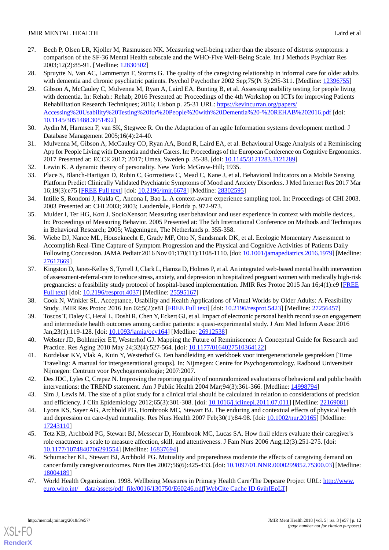- <span id="page-11-0"></span>27. Bech P, Olsen LR, Kjoller M, Rasmussen NK. Measuring well-being rather than the absence of distress symptoms: a comparison of the SF-36 Mental Health subscale and the WHO-Five Well-Being Scale. Int J Methods Psychiatr Res 2003;12(2):85-91. [Medline: [12830302](http://www.ncbi.nlm.nih.gov/entrez/query.fcgi?cmd=Retrieve&db=PubMed&list_uids=12830302&dopt=Abstract)]
- <span id="page-11-2"></span><span id="page-11-1"></span>28. Spruytte N, Van AC, Lammertyn F, Storms G. The quality of the caregiving relationship in informal care for older adults with dementia and chronic psychiatric patients. Psychol Psychother 2002 Sep;75(Pt 3):295-311. [Medline: [12396755\]](http://www.ncbi.nlm.nih.gov/entrez/query.fcgi?cmd=Retrieve&db=PubMed&list_uids=12396755&dopt=Abstract)
- 29. Gibson A, McCauley C, Mulvenna M, Ryan A, Laird EA, Bunting B, et al. Assessing usability testing for people living with dementia. In: Rehab.: Rehab; 2016 Presented at: Proceedings of the 4th Workshop on ICTs for improving Patients Rehabilitation Research Techniques; 2016; Lisbon p. 25-31 URL: [https://kevincurran.org/papers/](https://kevincurran.org/papers/Accessing%20Usability%20Testing%20for%20People%20with%20Dementia%20-%20REHAB%202016.pdf) [Accessing%20Usability%20Testing%20for%20People%20with%20Dementia%20-%20REHAB%202016.pdf](https://kevincurran.org/papers/Accessing%20Usability%20Testing%20for%20People%20with%20Dementia%20-%20REHAB%202016.pdf) [doi: [10.1145/3051488.3051492](http://dx.doi.org/10.1145/3051488.3051492)]
- <span id="page-11-4"></span><span id="page-11-3"></span>30. Aydin M, Harmsen F, van SK, Stegwee R. On the Adaptation of an agile Information systems development method. J Database Management 2005;16(4):24-40.
- <span id="page-11-5"></span>31. Mulvenna M, Gibson A, McCauley CO, Ryan AA, Bond R, Laird EA, et al. Behavioural Usage Analysis of a Reminiscing App for People Living with Dementia and their Carers. In: Proceedings of the European Conference on Cognitive Ergonomics. 2017 Presented at: ECCE 2017; 2017; Umea, Sweden p. 35-38. [doi: [10.1145/3121283.3121289](http://dx.doi.org/10.1145/3121283.3121289)]
- <span id="page-11-6"></span>32. Lewin K. A dynamic theory of personality. New York: McGraw-Hill; 1935.
- 33. Place S, Blanch-Hartigan D, Rubin C, Gorrostieta C, Mead C, Kane J, et al. Behavioral Indicators on a Mobile Sensing Platform Predict Clinically Validated Psychiatric Symptoms of Mood and Anxiety Disorders. J Med Internet Res 2017 Mar 16;19(3):e75 [\[FREE Full text](http://www.jmir.org/2017/3/e75/)] [doi: [10.2196/jmir.6678\]](http://dx.doi.org/10.2196/jmir.6678) [Medline: [28302595](http://www.ncbi.nlm.nih.gov/entrez/query.fcgi?cmd=Retrieve&db=PubMed&list_uids=28302595&dopt=Abstract)]
- 34. Intille S, Rondoni J, Kukla C, Ancona I, Bao L. A context-aware experience sampling tool. In: Proceedings of CHI 2003. 2003 Presented at: CHI 2003; 2003; Lauderdale, Florida p. 972-973.
- <span id="page-11-7"></span>35. Mulder I, Ter HG, Kort J. SocioXensor: Measuring user behaviour and user experience in context with mobile devices,. In: Proceedings of Measuring Behavior. 2005 Presented at: The 5th International Conference on Methods and Techniques in Behavioral Research; 2005; Wageningen, The Netherlands p. 355-358.
- <span id="page-11-8"></span>36. Wiebe DJ, Nance ML, Houseknecht E, Grady MF, Otto N, Sandsmark DK, et al. Ecologic Momentary Assessment to Accomplish Real-Time Capture of Symptom Progression and the Physical and Cognitive Activities of Patients Daily Following Concussion. JAMA Pediatr 2016 Nov 01;170(11):1108-1110. [doi: [10.1001/jamapediatrics.2016.1979\]](http://dx.doi.org/10.1001/jamapediatrics.2016.1979) [Medline: [27617669](http://www.ncbi.nlm.nih.gov/entrez/query.fcgi?cmd=Retrieve&db=PubMed&list_uids=27617669&dopt=Abstract)]
- 37. Kingston D, Janes-Kelley S, Tyrrell J, Clark L, Hamza D, Holmes P, et al. An integrated web-based mental health intervention of assessment-referral-care to reduce stress, anxiety, and depression in hospitalized pregnant women with medically high-risk pregnancies: a feasibility study protocol of hospital-based implementation. JMIR Res Protoc 2015 Jan 16;4(1):e9 [[FREE](http://www.researchprotocols.org/2015/1/e9/) [Full text\]](http://www.researchprotocols.org/2015/1/e9/) [doi: [10.2196/resprot.4037\]](http://dx.doi.org/10.2196/resprot.4037) [Medline: [25595167](http://www.ncbi.nlm.nih.gov/entrez/query.fcgi?cmd=Retrieve&db=PubMed&list_uids=25595167&dopt=Abstract)]
- <span id="page-11-10"></span><span id="page-11-9"></span>38. Cook N, Winkler SL. Acceptance, Usability and Health Applications of Virtual Worlds by Older Adults: A Feasibility Study. JMIR Res Protoc 2016 Jun 02;5(2):e81 [[FREE Full text](http://www.researchprotocols.org/2016/2/e81/)] [doi: [10.2196/resprot.5423](http://dx.doi.org/10.2196/resprot.5423)] [Medline: [27256457\]](http://www.ncbi.nlm.nih.gov/entrez/query.fcgi?cmd=Retrieve&db=PubMed&list_uids=27256457&dopt=Abstract)
- <span id="page-11-11"></span>39. Toscos T, Daley C, Heral L, Doshi R, Chen Y, Eckert GJ, et al. Impact of electronic personal health record use on engagement and intermediate health outcomes among cardiac patients: a quasi-experimental study. J Am Med Inform Assoc 2016 Jan;23(1):119-128. [doi: [10.1093/jamia/ocv164](http://dx.doi.org/10.1093/jamia/ocv164)] [Medline: [26912538](http://www.ncbi.nlm.nih.gov/entrez/query.fcgi?cmd=Retrieve&db=PubMed&list_uids=26912538&dopt=Abstract)]
- <span id="page-11-12"></span>40. Webster JD, Bohlmeijer ET, Westerhof GJ. Mapping the Future of Reminiscence: A Conceptual Guide for Research and Practice. Res Aging 2010 May 24;32(4):527-564. [doi: [10.1177/0164027510364122](http://dx.doi.org/10.1177/0164027510364122)]
- <span id="page-11-13"></span>41. Kordelaar KV, Vlak A, Kuin Y, Westerhof G. Een handleiding en werkboek voor intergenerationele gesprekken [Time Traveling: A manual for intergenerational groups]. In: Nijmegen: Centre for Psychogerontology. Radboud Universiteit Nijmegen: Centrum voor Psychogerontologie; 2007:2007.
- <span id="page-11-14"></span>42. Des JDC, Lyles C, Crepaz N. Improving the reporting quality of nonrandomized evaluations of behavioral and public health interventions: the TREND statement. Am J Public Health 2004 Mar;94(3):361-366. [Medline: [14998794\]](http://www.ncbi.nlm.nih.gov/entrez/query.fcgi?cmd=Retrieve&db=PubMed&list_uids=14998794&dopt=Abstract)
- <span id="page-11-15"></span>43. Sim J, Lewis M. The size of a pilot study for a clinical trial should be calculated in relation to considerations of precision and efficiency. J Clin Epidemiology 2012;65(3):301-308. [doi: [10.1016/j.jclinepi.2011.07.011](http://dx.doi.org/10.1016/j.jclinepi.2011.07.011)] [Medline: [22169081](http://www.ncbi.nlm.nih.gov/entrez/query.fcgi?cmd=Retrieve&db=PubMed&list_uids=22169081&dopt=Abstract)]
- <span id="page-11-16"></span>44. Lyons KS, Sayer AG, Archbold PG, Hornbrook MC, Stewart BJ. The enduring and contextual effects of physical health and depression on care-dyad mutuality. Res Nurs Health 2007 Feb;30(1):84-98. [doi: [10.1002/nur.20165](http://dx.doi.org/10.1002/nur.20165)] [Medline: [17243110](http://www.ncbi.nlm.nih.gov/entrez/query.fcgi?cmd=Retrieve&db=PubMed&list_uids=17243110&dopt=Abstract)]
- <span id="page-11-17"></span>45. Tetz KB, Archbold PG, Stewart BJ, Messecar D, Hornbrook MC, Lucas SA. How frail elders evaluate their caregiver's role enactment: a scale to measure affection, skill, and attentiveness. J Fam Nurs 2006 Aug;12(3):251-275. [doi: [10.1177/1074840706291554\]](http://dx.doi.org/10.1177/1074840706291554) [Medline: [16837694\]](http://www.ncbi.nlm.nih.gov/entrez/query.fcgi?cmd=Retrieve&db=PubMed&list_uids=16837694&dopt=Abstract)
- 46. Schumacher KL, Stewart BJ, Archbold PG. Mutuality and preparedness moderate the effects of caregiving demand on cancer family caregiver outcomes. Nurs Res 2007;56(6):425-433. [doi: [10.1097/01.NNR.0000299852.75300.03](http://dx.doi.org/10.1097/01.NNR.0000299852.75300.03)] [Medline: [18004189](http://www.ncbi.nlm.nih.gov/entrez/query.fcgi?cmd=Retrieve&db=PubMed&list_uids=18004189&dopt=Abstract)]
- 47. World Health Organization. 1998. Wellbeing Measures in Primary Health Care/The Depcare Project URL: [http://www.](http://www.euro.who.int/__data/assets/pdf_file/0016/130750/E60246.pdf) euro.who.int/ data/assets/pdf\_file/0016/130750/E60246.pdf[[WebCite Cache ID 6yihIEpLT\]](http://www.webcitation.org/

                                6yihIEpLT)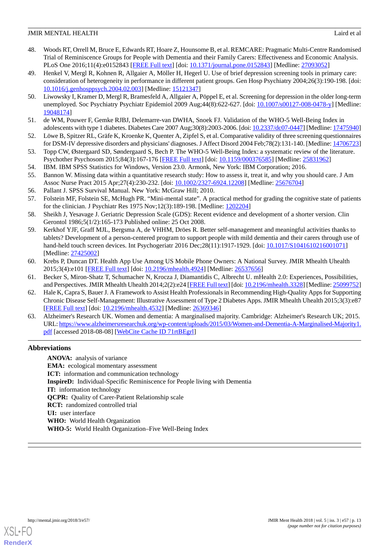- <span id="page-12-0"></span>48. Woods RT, Orrell M, Bruce E, Edwards RT, Hoare Z, Hounsome B, et al. REMCARE: Pragmatic Multi-Centre Randomised Trial of Reminiscence Groups for People with Dementia and their Family Carers: Effectiveness and Economic Analysis. PLoS One 2016;11(4):e0152843 [[FREE Full text](http://dx.plos.org/10.1371/journal.pone.0152843)] [doi: [10.1371/journal.pone.0152843\]](http://dx.doi.org/10.1371/journal.pone.0152843) [Medline: [27093052](http://www.ncbi.nlm.nih.gov/entrez/query.fcgi?cmd=Retrieve&db=PubMed&list_uids=27093052&dopt=Abstract)]
- <span id="page-12-1"></span>49. Henkel V, Mergl R, Kohnen R, Allgaier A, Möller H, Hegerl U. Use of brief depression screening tools in primary care: consideration of heterogeneity in performance in different patient groups. Gen Hosp Psychiatry 2004;26(3):190-198. [doi: [10.1016/j.genhosppsych.2004.02.003](http://dx.doi.org/10.1016/j.genhosppsych.2004.02.003)] [Medline: [15121347](http://www.ncbi.nlm.nih.gov/entrez/query.fcgi?cmd=Retrieve&db=PubMed&list_uids=15121347&dopt=Abstract)]
- <span id="page-12-2"></span>50. Liwowsky I, Kramer D, Mergl R, Bramesfeld A, Allgaier A, Pöppel E, et al. Screening for depression in the older long-term unemployed. Soc Psychiatry Psychiatr Epidemiol 2009 Aug;44(8):622-627. [doi: [10.1007/s00127-008-0478-y\]](http://dx.doi.org/10.1007/s00127-008-0478-y) [Medline: [19048174](http://www.ncbi.nlm.nih.gov/entrez/query.fcgi?cmd=Retrieve&db=PubMed&list_uids=19048174&dopt=Abstract)]
- <span id="page-12-4"></span><span id="page-12-3"></span>51. de WM, Pouwer F, Gemke RJBJ, Delemarre-van DWHA, Snoek FJ. Validation of the WHO-5 Well-Being Index in adolescents with type 1 diabetes. Diabetes Care 2007 Aug;30(8):2003-2006. [doi: [10.2337/dc07-0447\]](http://dx.doi.org/10.2337/dc07-0447) [Medline: [17475940](http://www.ncbi.nlm.nih.gov/entrez/query.fcgi?cmd=Retrieve&db=PubMed&list_uids=17475940&dopt=Abstract)]
- <span id="page-12-5"></span>52. Löwe B, Spitzer RL, Gräfe K, Kroenke K, Quenter A, Zipfel S, et al. Comparative validity of three screening questionnaires for DSM-IV depressive disorders and physicians' diagnoses. J Affect Disord 2004 Feb;78(2):131-140. [Medline: [14706723\]](http://www.ncbi.nlm.nih.gov/entrez/query.fcgi?cmd=Retrieve&db=PubMed&list_uids=14706723&dopt=Abstract)
- <span id="page-12-7"></span><span id="page-12-6"></span>53. Topp CW, Østergaard SD, Søndergaard S, Bech P. The WHO-5 Well-Being Index: a systematic review of the literature. Psychother Psychosom 2015;84(3):167-176 [[FREE Full text](http://www.karger.com?DOI=10.1159/000376585)] [doi: [10.1159/000376585\]](http://dx.doi.org/10.1159/000376585) [Medline: [25831962\]](http://www.ncbi.nlm.nih.gov/entrez/query.fcgi?cmd=Retrieve&db=PubMed&list_uids=25831962&dopt=Abstract)
- 54. IBM. IBM SPSS Statistics for Windows, Version 23.0. Armonk, New York: IBM Corporation; 2016.
- <span id="page-12-9"></span><span id="page-12-8"></span>55. Bannon W. Missing data within a quantitative research study: How to assess it, treat it, and why you should care. J Am Assoc Nurse Pract 2015 Apr;27(4):230-232. [doi: [10.1002/2327-6924.12208\]](http://dx.doi.org/10.1002/2327-6924.12208) [Medline: [25676704\]](http://www.ncbi.nlm.nih.gov/entrez/query.fcgi?cmd=Retrieve&db=PubMed&list_uids=25676704&dopt=Abstract)
- <span id="page-12-10"></span>56. Pallant J. SPSS Survival Manual. New York: McGraw Hill; 2010.
- 57. Folstein MF, Folstein SE, McHugh PR. "Mini-mental state". A practical method for grading the cognitive state of patients for the clinician. J Psychiatr Res 1975 Nov;12(3):189-198. [Medline: [1202204](http://www.ncbi.nlm.nih.gov/entrez/query.fcgi?cmd=Retrieve&db=PubMed&list_uids=1202204&dopt=Abstract)]
- <span id="page-12-11"></span>58. Sheikh J, Yesavage J. Geriatric Depression Scale (GDS): Recent evidence and development of a shorter version. Clin Gerontol 1986;5(1/2):165-173 Published online: 25 Oct 2008.
- 59. Kerkhof YJF, Graff MJL, Bergsma A, de VHHM, Dröes R. Better self-management and meaningful activities thanks to tablets? Development of a person-centered program to support people with mild dementia and their carers through use of hand-held touch screen devices. Int Psychogeriatr 2016 Dec; 28(11): 1917-1929. [doi: [10.1017/S1041610216001071\]](http://dx.doi.org/10.1017/S1041610216001071) [Medline: [27425002](http://www.ncbi.nlm.nih.gov/entrez/query.fcgi?cmd=Retrieve&db=PubMed&list_uids=27425002&dopt=Abstract)]
- <span id="page-12-12"></span>60. Krebs P, Duncan DT. Health App Use Among US Mobile Phone Owners: A National Survey. JMIR Mhealth Uhealth 2015;3(4):e101 [\[FREE Full text](http://mhealth.jmir.org/2015/4/e101/)] [doi: [10.2196/mhealth.4924\]](http://dx.doi.org/10.2196/mhealth.4924) [Medline: [26537656](http://www.ncbi.nlm.nih.gov/entrez/query.fcgi?cmd=Retrieve&db=PubMed&list_uids=26537656&dopt=Abstract)]
- 61. Becker S, Miron-Shatz T, Schumacher N, Krocza J, Diamantidis C, Albrecht U. mHealth 2.0: Experiences, Possibilities, and Perspectives. JMIR Mhealth Uhealth 2014;2(2):e24 [\[FREE Full text\]](http://mhealth.jmir.org/2014/2/e24/) [doi: [10.2196/mhealth.3328\]](http://dx.doi.org/10.2196/mhealth.3328) [Medline: [25099752\]](http://www.ncbi.nlm.nih.gov/entrez/query.fcgi?cmd=Retrieve&db=PubMed&list_uids=25099752&dopt=Abstract)
- <span id="page-12-13"></span>62. Hale K, Capra S, Bauer J. A Framework to Assist Health Professionals in Recommending High-Quality Apps for Supporting Chronic Disease Self-Management: Illustrative Assessment of Type 2 Diabetes Apps. JMIR Mhealth Uhealth 2015;3(3):e87 [[FREE Full text](http://mhealth.jmir.org/2015/3/e87/)] [doi: [10.2196/mhealth.4532\]](http://dx.doi.org/10.2196/mhealth.4532) [Medline: [26369346](http://www.ncbi.nlm.nih.gov/entrez/query.fcgi?cmd=Retrieve&db=PubMed&list_uids=26369346&dopt=Abstract)]
- 63. Alzheimer's Research UK. Women and dementia: A marginalised majority. Cambridge: Alzheimer's Research UK; 2015. URL: [https://www.alzheimersresearchuk.org/wp-content/uploads/2015/03/Women-and-Dementia-A-Marginalised-Majority1.](https://www.alzheimersresearchuk.org/wp-content/uploads/2015/03/Women-and-Dementia-A-Marginalised-Majority1.pdf) [pdf](https://www.alzheimersresearchuk.org/wp-content/uploads/2015/03/Women-and-Dementia-A-Marginalised-Majority1.pdf) [accessed 2018-08-08] [[WebCite Cache ID 71rtBEgrl\]](http://www.webcitation.org/

                                71rtBEgrl)

## **Abbreviations**

**ANOVA:** analysis of variance **EMA:** ecological momentary assessment **ICT:** information and communication technology **InspireD:** Individual-Specific Reminiscence for People living with Dementia **IT:** information technology **QCPR:** Quality of Carer-Patient Relationship scale **RCT:** randomized controlled trial **UI:** user interface **WHO:** World Health Organization **WHO-5:** World Health Organization–Five Well-Being Index